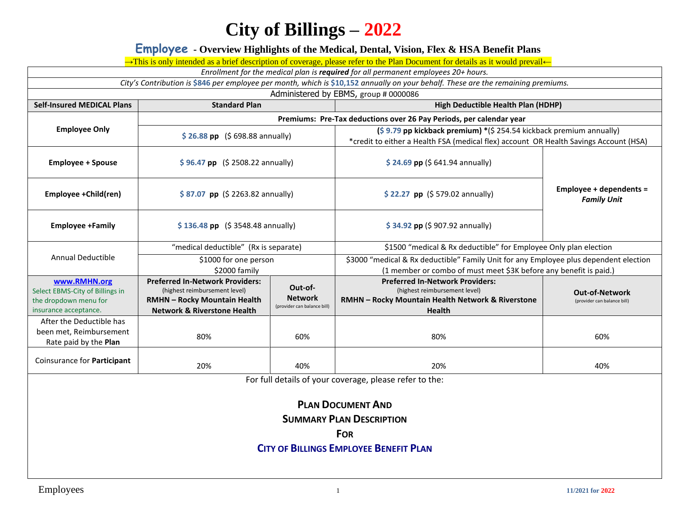### **Employee - Overview Highlights of the Medical, Dental, Vision, Flex & HSA Benefit Plans**

→This is only intended as a brief description of coverage, please refer to the Plan Document for details as it would prevail←

*Enrollment for the medical plan is required for all permanent employees 20+ hours.* 

*City's Contribution is* **\$846** *per employee per month, which is* **\$10,152** *annually on your behalf. These are the remaining premiums.*

Administered by EBMS, group # 0000086

| <b>Self-Insured MEDICAL Plans</b>                                                                 | <b>Standard Plan</b>                                                                                                                                     |                                                          | High Deductible Health Plan (HDHP)                                                                                                                                                   |                                                      |  |
|---------------------------------------------------------------------------------------------------|----------------------------------------------------------------------------------------------------------------------------------------------------------|----------------------------------------------------------|--------------------------------------------------------------------------------------------------------------------------------------------------------------------------------------|------------------------------------------------------|--|
|                                                                                                   | Premiums: Pre-Tax deductions over 26 Pay Periods, per calendar year                                                                                      |                                                          |                                                                                                                                                                                      |                                                      |  |
| <b>Employee Only</b>                                                                              | $$26.88$ pp $$698.88$ annually)                                                                                                                          |                                                          | $(\frac{2}{5}$ 9.79 pp kickback premium) *( $\frac{2}{5}$ 254.54 kickback premium annually)<br>*credit to either a Health FSA (medical flex) account OR Health Savings Account (HSA) |                                                      |  |
| <b>Employee + Spouse</b>                                                                          | $$96.47$ pp $$2508.22$ annually)                                                                                                                         |                                                          | $$24.69$ pp (\$641.94 annually)                                                                                                                                                      |                                                      |  |
| Employee +Child(ren)                                                                              | \$87.07 pp (\$2263.82 annually)                                                                                                                          |                                                          | $$22.27$ pp (\$ 579.02 annually)                                                                                                                                                     | Employee + dependents =<br><b>Family Unit</b>        |  |
| <b>Employee +Family</b>                                                                           | $$136.48$ pp $$3548.48$ annually)                                                                                                                        |                                                          | \$34.92 pp (\$907.92 annually)                                                                                                                                                       |                                                      |  |
|                                                                                                   | "medical deductible" (Rx is separate)                                                                                                                    |                                                          | \$1500 "medical & Rx deductible" for Employee Only plan election                                                                                                                     |                                                      |  |
| Annual Deductible                                                                                 | \$1000 for one person<br>\$2000 family                                                                                                                   |                                                          | \$3000 "medical & Rx deductible" Family Unit for any Employee plus dependent election<br>(1 member or combo of must meet \$3K before any benefit is paid.)                           |                                                      |  |
| www.RMHN.org<br>Select EBMS-City of Billings in<br>the dropdown menu for<br>insurance acceptance. | <b>Preferred In-Network Providers:</b><br>(highest reimbursement level)<br><b>RMHN - Rocky Mountain Health</b><br><b>Network &amp; Riverstone Health</b> | Out-of-<br><b>Network</b><br>(provider can balance bill) | <b>Preferred In-Network Providers:</b><br>(highest reimbursement level)<br>RMHN - Rocky Mountain Health Network & Riverstone<br><b>Health</b>                                        | <b>Out-of-Network</b><br>(provider can balance bill) |  |
| After the Deductible has<br>been met, Reimbursement<br>Rate paid by the Plan                      | 80%                                                                                                                                                      | 60%                                                      | 80%                                                                                                                                                                                  | 60%                                                  |  |
| Coinsurance for Participant                                                                       | 20%                                                                                                                                                      | 40%                                                      | 20%                                                                                                                                                                                  | 40%                                                  |  |

For full details of your coverage, please refer to the:

#### **PLAN DOCUMENT AND**

**SUMMARY PLAN DESCRIPTION**

**FOR**

#### **CITY OF BILLINGS EMPLOYEE BENEFIT PLAN**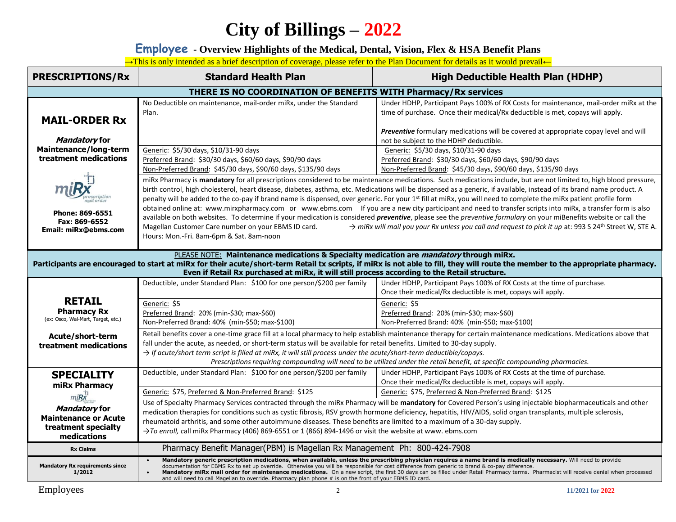**Employee - Overview Highlights of the Medical, Dental, Vision, Flex & HSA Benefit Plans**

→This is only intended as a brief description of coverage, please refer to the Plan Document for details as it would prevail←

| <b>PRESCRIPTIONS/Rx</b>                                                                                                                                                                                                                                                                                                                                                            | <b>Standard Health Plan</b>                                                                                                                                                                                                                                                                                                                                                                                                                                                                                                                                                                                                                                                  | <b>High Deductible Health Plan (HDHP)</b>                                                                                                                              |  |  |  |
|------------------------------------------------------------------------------------------------------------------------------------------------------------------------------------------------------------------------------------------------------------------------------------------------------------------------------------------------------------------------------------|------------------------------------------------------------------------------------------------------------------------------------------------------------------------------------------------------------------------------------------------------------------------------------------------------------------------------------------------------------------------------------------------------------------------------------------------------------------------------------------------------------------------------------------------------------------------------------------------------------------------------------------------------------------------------|------------------------------------------------------------------------------------------------------------------------------------------------------------------------|--|--|--|
| THERE IS NO COORDINATION OF BENEFITS WITH Pharmacy/Rx services                                                                                                                                                                                                                                                                                                                     |                                                                                                                                                                                                                                                                                                                                                                                                                                                                                                                                                                                                                                                                              |                                                                                                                                                                        |  |  |  |
| <b>MAIL-ORDER Rx</b>                                                                                                                                                                                                                                                                                                                                                               | No Deductible on maintenance, mail-order miRx, under the Standard<br>Plan.                                                                                                                                                                                                                                                                                                                                                                                                                                                                                                                                                                                                   | Under HDHP, Participant Pays 100% of RX Costs for maintenance, mail-order miRx at the<br>time of purchase. Once their medical/Rx deductible is met, copays will apply. |  |  |  |
| Mandatory for                                                                                                                                                                                                                                                                                                                                                                      |                                                                                                                                                                                                                                                                                                                                                                                                                                                                                                                                                                                                                                                                              | Preventive formulary medications will be covered at appropriate copay level and will<br>not be subject to the HDHP deductible.                                         |  |  |  |
| Maintenance/long-term<br>treatment medications                                                                                                                                                                                                                                                                                                                                     | Generic: \$5/30 days, \$10/31-90 days<br>Preferred Brand: \$30/30 days, \$60/60 days, \$90/90 days<br>Non-Preferred Brand: \$45/30 days, \$90/60 days, \$135/90 days                                                                                                                                                                                                                                                                                                                                                                                                                                                                                                         | Generic: \$5/30 days, \$10/31-90 days<br>Preferred Brand: \$30/30 days, \$60/60 days, \$90/90 days<br>Non-Preferred Brand: \$45/30 days, \$90/60 days, \$135/90 days   |  |  |  |
|                                                                                                                                                                                                                                                                                                                                                                                    | miRx Pharmacy is mandatory for all prescriptions considered to be maintenance medications. Such medications include, but are not limited to, high blood pressure,<br>birth control, high cholesterol, heart disease, diabetes, asthma, etc. Medications will be dispensed as a generic, if available, instead of its brand name product. A<br>penalty will be added to the co-pay if brand name is dispensed, over generic. For your 1st fill at miRx, you will need to complete the miRx patient profile form<br>obtained online at: www.mirxpharmacy.com or www.ebms.com If you are a new city participant and need to transfer scripts into miRx, a transfer form is also |                                                                                                                                                                        |  |  |  |
| Phone: 869-6551<br>Fax: 869-6552<br>Email: miRx@ebms.com                                                                                                                                                                                                                                                                                                                           | available on both websites. To determine if your medication is considered <i>preventive</i> , please see the <i>preventive</i> formulary on your miBenefits website or call the<br>→ miRx will mail you your Rx unless you call and request to pick it up at: 993 S 24th Street W, STE A.<br>Magellan Customer Care number on your EBMS ID card.<br>Hours: Mon.-Fri. 8am-6pm & Sat. 8am-noon                                                                                                                                                                                                                                                                                 |                                                                                                                                                                        |  |  |  |
| PLEASE NOTE: Maintenance medications & Specialty medication are <i>mandatory</i> through miRx.<br>Participants are encouraged to start at miRx for their acute/short-term Retail tx scripts, if miRx is not able to fill, they will route the member to the appropriate pharmacy.<br>Even if Retail Rx purchased at miRx, it will still process according to the Retail structure. |                                                                                                                                                                                                                                                                                                                                                                                                                                                                                                                                                                                                                                                                              |                                                                                                                                                                        |  |  |  |
|                                                                                                                                                                                                                                                                                                                                                                                    | Deductible, under Standard Plan: \$100 for one person/\$200 per family                                                                                                                                                                                                                                                                                                                                                                                                                                                                                                                                                                                                       | Under HDHP, Participant Pays 100% of RX Costs at the time of purchase.<br>Once their medical/Rx deductible is met, copays will apply.                                  |  |  |  |
| <b>RETAIL</b><br><b>Pharmacy Rx</b><br>(ex: Osco, Wal-Mart, Target, etc.)                                                                                                                                                                                                                                                                                                          | Generic: \$5<br>Preferred Brand: 20% (min-\$30; max-\$60)<br>Non-Preferred Brand: 40% (min-\$50; max-\$100)                                                                                                                                                                                                                                                                                                                                                                                                                                                                                                                                                                  | Generic: \$5<br>Preferred Brand: 20% (min-\$30; max-\$60)<br>Non-Preferred Brand: 40% (min-\$50; max-\$100)                                                            |  |  |  |
| Acute/short-term<br>treatment medications                                                                                                                                                                                                                                                                                                                                          | Retail benefits cover a one-time grace fill at a local pharmacy to help establish maintenance therapy for certain maintenance medications. Medications above that<br>fall under the acute, as needed, or short-term status will be available for retail benefits. Limited to 30-day supply.<br>$\rightarrow$ If acute/short term script is filled at miRx, it will still process under the acute/short-term deductible/copays.<br>Prescriptions requiring compounding will need to be utilized under the retail benefit, at specific compounding pharmacies.                                                                                                                 |                                                                                                                                                                        |  |  |  |
| <b>SPECIALITY</b><br>miRx Pharmacy                                                                                                                                                                                                                                                                                                                                                 | Deductible, under Standard Plan: \$100 for one person/\$200 per family                                                                                                                                                                                                                                                                                                                                                                                                                                                                                                                                                                                                       | Under HDHP, Participant Pays 100% of RX Costs at the time of purchase.<br>Once their medical/Rx deductible is met, copays will apply.                                  |  |  |  |
| $m\ddot{\textbf{\textit{B}}}\textbf{\textit{X}}^{\text{D}}$                                                                                                                                                                                                                                                                                                                        | Generic: \$75, Preferred & Non-Preferred Brand: \$125                                                                                                                                                                                                                                                                                                                                                                                                                                                                                                                                                                                                                        | Generic: \$75, Preferred & Non-Preferred Brand: \$125                                                                                                                  |  |  |  |
| Mandatory for<br><b>Maintenance or Acute</b><br>treatment specialty<br>medications                                                                                                                                                                                                                                                                                                 | Use of Specialty Pharmacy Services contracted through the miRx Pharmacy will be mandatory for Covered Person's using injectable biopharmaceuticals and other<br>medication therapies for conditions such as cystic fibrosis, RSV growth hormone deficiency, hepatitis, HIV/AIDS, solid organ transplants, multiple sclerosis,<br>rheumatoid arthritis, and some other autoimmune diseases. These benefits are limited to a maximum of a 30-day supply.<br>>To enroll, call miRx Pharmacy (406) 869-6551 or 1 (866) 894-1496 or visit the website at www. ebms.com                                                                                                            |                                                                                                                                                                        |  |  |  |
| <b>Rx Claims</b>                                                                                                                                                                                                                                                                                                                                                                   | Pharmacy Benefit Manager(PBM) is Magellan Rx Management Ph: 800-424-7908                                                                                                                                                                                                                                                                                                                                                                                                                                                                                                                                                                                                     |                                                                                                                                                                        |  |  |  |
| <b>Mandatory Rx requirements since</b><br>1/2012                                                                                                                                                                                                                                                                                                                                   | Mandatory generic prescription medications, when available, unless the prescribing physician requires a name brand is medically necessary. Will need to provide<br>documentation for EBMS Rx to set up override. Otherwise you will be responsible for cost difference from generic to brand & co-pay difference.<br>Mandatory miRx mail order for maintenance medications. On a new script, the first 30 days can be filled under Retail Pharmacy terms. Pharmacist will receive denial when processed<br>and will need to call Magellan to override. Pharmacy plan phone # is on the front of your EBMS ID card.                                                           |                                                                                                                                                                        |  |  |  |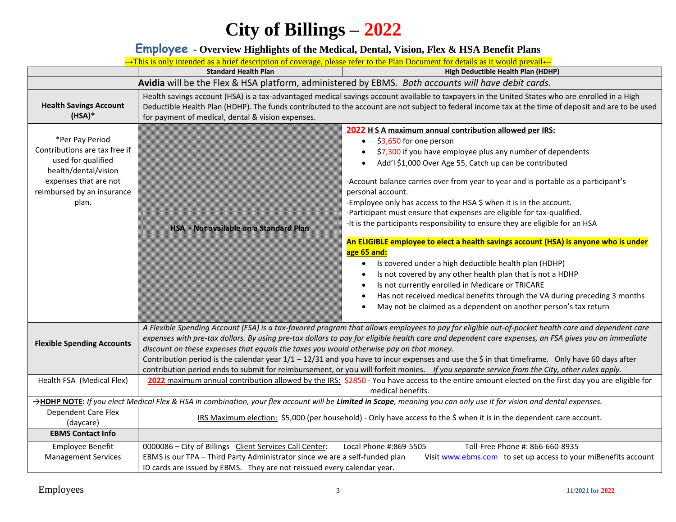### **Employee - Overview Highlights of the Medical, Dental, Vision, Flex & HSA Benefit Plans**

|                                                                                                                                                                | → This is only intended as a brief description of coverage, please refer to the Plan Document for details as it would prevail←                                                                                                                                                                                                                                                                                                                                                                                                                                                                                                                                                                       |                                                                                                                                                                                                                                                                                                                                                                                                                                                                                                                                                                                                                                                                                                                                                                                                                                                                                                                                                                                          |  |  |
|----------------------------------------------------------------------------------------------------------------------------------------------------------------|------------------------------------------------------------------------------------------------------------------------------------------------------------------------------------------------------------------------------------------------------------------------------------------------------------------------------------------------------------------------------------------------------------------------------------------------------------------------------------------------------------------------------------------------------------------------------------------------------------------------------------------------------------------------------------------------------|------------------------------------------------------------------------------------------------------------------------------------------------------------------------------------------------------------------------------------------------------------------------------------------------------------------------------------------------------------------------------------------------------------------------------------------------------------------------------------------------------------------------------------------------------------------------------------------------------------------------------------------------------------------------------------------------------------------------------------------------------------------------------------------------------------------------------------------------------------------------------------------------------------------------------------------------------------------------------------------|--|--|
|                                                                                                                                                                | <b>Standard Health Plan</b>                                                                                                                                                                                                                                                                                                                                                                                                                                                                                                                                                                                                                                                                          | High Deductible Health Plan (HDHP)                                                                                                                                                                                                                                                                                                                                                                                                                                                                                                                                                                                                                                                                                                                                                                                                                                                                                                                                                       |  |  |
| Avidia will be the Flex & HSA platform, administered by EBMS. Both accounts will have debit cards.                                                             |                                                                                                                                                                                                                                                                                                                                                                                                                                                                                                                                                                                                                                                                                                      |                                                                                                                                                                                                                                                                                                                                                                                                                                                                                                                                                                                                                                                                                                                                                                                                                                                                                                                                                                                          |  |  |
| <b>Health Savings Account</b><br>$(HSA)*$                                                                                                                      | Health savings account (HSA) is a tax-advantaged medical savings account available to taxpayers in the United States who are enrolled in a High<br>Deductible Health Plan (HDHP). The funds contributed to the account are not subject to federal income tax at the time of deposit and are to be used<br>for payment of medical, dental & vision expenses.                                                                                                                                                                                                                                                                                                                                          |                                                                                                                                                                                                                                                                                                                                                                                                                                                                                                                                                                                                                                                                                                                                                                                                                                                                                                                                                                                          |  |  |
| *Per Pay Period<br>Contributions are tax free if<br>used for qualified<br>health/dental/vision<br>expenses that are not<br>reimbursed by an insurance<br>plan. | HSA - Not available on a Standard Plan                                                                                                                                                                                                                                                                                                                                                                                                                                                                                                                                                                                                                                                               | 2022 H S A maximum annual contribution allowed per IRS:<br>\$3,650 for one person<br>\$7,300 if you have employee plus any number of dependents<br>Add'l \$1,000 Over Age 55, Catch up can be contributed<br>-Account balance carries over from year to year and is portable as a participant's<br>personal account.<br>-Employee only has access to the HSA \$ when it is in the account.<br>-Participant must ensure that expenses are eligible for tax-qualified.<br>-It is the participants responsibility to ensure they are eligible for an HSA<br>An ELIGIBLE employee to elect a health savings account (HSA) is anyone who is under<br>age 65 and:<br>Is covered under a high deductible health plan (HDHP)<br>Is not covered by any other health plan that is not a HDHP<br>Is not currently enrolled in Medicare or TRICARE<br>Has not received medical benefits through the VA during preceding 3 months<br>May not be claimed as a dependent on another person's tax return |  |  |
| <b>Flexible Spending Accounts</b>                                                                                                                              | A Flexible Spending Account (FSA) is a tax-favored program that allows employees to pay for eligible out-of-pocket health care and dependent care<br>expenses with pre-tax dollars. By using pre-tax dollars to pay for eligible health care and dependent care expenses, an FSA gives you an immediate<br>discount on these expenses that equals the taxes you would otherwise pay on that money.<br>Contribution period is the calendar year $1/1 - 12/31$ and you have to incur expenses and use the \$ in that timeframe. Only have 60 days after<br>contribution period ends to submit for reimbursement, or you will forfeit monies. If you separate service from the City, other rules apply. |                                                                                                                                                                                                                                                                                                                                                                                                                                                                                                                                                                                                                                                                                                                                                                                                                                                                                                                                                                                          |  |  |
| Health FSA (Medical Flex)                                                                                                                                      |                                                                                                                                                                                                                                                                                                                                                                                                                                                                                                                                                                                                                                                                                                      | 2022 maximum annual contribution allowed by the IRS: \$2850 - You have access to the entire amount elected on the first day you are eligible for<br>medical benefits.                                                                                                                                                                                                                                                                                                                                                                                                                                                                                                                                                                                                                                                                                                                                                                                                                    |  |  |
|                                                                                                                                                                |                                                                                                                                                                                                                                                                                                                                                                                                                                                                                                                                                                                                                                                                                                      | >HDHP NOTE: If you elect Medical Flex & HSA in combination, your flex account will be Limited in Scope, meaning you can only use it for vision and dental expenses.                                                                                                                                                                                                                                                                                                                                                                                                                                                                                                                                                                                                                                                                                                                                                                                                                      |  |  |
| Dependent Care Flex<br>(daycare)                                                                                                                               | IRS Maximum election: \$5,000 (per household) - Only have access to the \$ when it is in the dependent care account.                                                                                                                                                                                                                                                                                                                                                                                                                                                                                                                                                                                 |                                                                                                                                                                                                                                                                                                                                                                                                                                                                                                                                                                                                                                                                                                                                                                                                                                                                                                                                                                                          |  |  |
| <b>EBMS Contact Info</b>                                                                                                                                       |                                                                                                                                                                                                                                                                                                                                                                                                                                                                                                                                                                                                                                                                                                      |                                                                                                                                                                                                                                                                                                                                                                                                                                                                                                                                                                                                                                                                                                                                                                                                                                                                                                                                                                                          |  |  |
| <b>Employee Benefit</b><br><b>Management Services</b>                                                                                                          | 0000086 - City of Billings Client Services Call Center:<br>EBMS is our TPA - Third Party Administrator since we are a self-funded plan<br>ID cards are issued by EBMS. They are not reissued every calendar year.                                                                                                                                                                                                                                                                                                                                                                                                                                                                                    | Local Phone #:869-5505<br>Toll-Free Phone #: 866-660-8935<br>Visit www.ebms.com to set up access to your miBenefits account                                                                                                                                                                                                                                                                                                                                                                                                                                                                                                                                                                                                                                                                                                                                                                                                                                                              |  |  |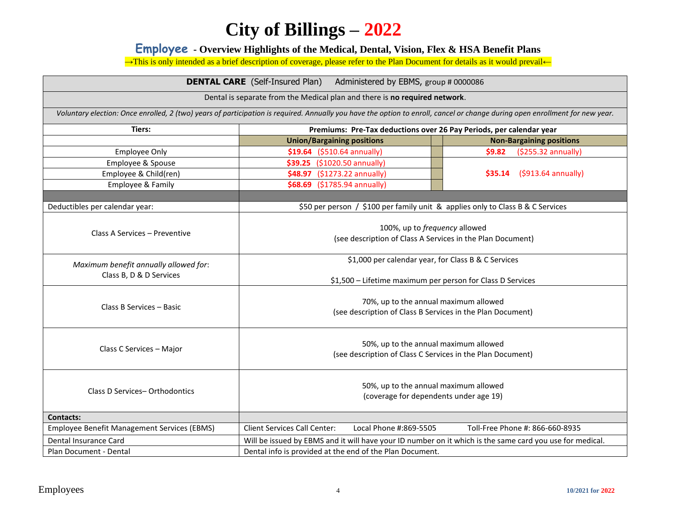**Employee - Overview Highlights of the Medical, Dental, Vision, Flex & HSA Benefit Plans**

→This is only intended as a brief description of coverage, please refer to the Plan Document for details as it would prevail←

| <b>DENTAL CARE</b> (Self-Insured Plan) Administered by EBMS, group # 0000086                                                                                                 |                                                                                                                   |                                 |  |  |  |
|------------------------------------------------------------------------------------------------------------------------------------------------------------------------------|-------------------------------------------------------------------------------------------------------------------|---------------------------------|--|--|--|
| Dental is separate from the Medical plan and there is no required network.                                                                                                   |                                                                                                                   |                                 |  |  |  |
| Voluntary election: Once enrolled, 2 (two) years of participation is required. Annually you have the option to enroll, cancel or change during open enrollment for new year. |                                                                                                                   |                                 |  |  |  |
| Tiers:                                                                                                                                                                       | Premiums: Pre-Tax deductions over 26 Pay Periods, per calendar year                                               |                                 |  |  |  |
|                                                                                                                                                                              | <b>Union/Bargaining positions</b>                                                                                 | <b>Non-Bargaining positions</b> |  |  |  |
| <b>Employee Only</b>                                                                                                                                                         | \$19.64 (\$510.64 annually)                                                                                       | \$9.82<br>(\$255.32 annually)   |  |  |  |
| Employee & Spouse                                                                                                                                                            | \$39.25 (\$1020.50 annually)                                                                                      |                                 |  |  |  |
| Employee & Child(ren)                                                                                                                                                        | \$48.97 (\$1273.22 annually)                                                                                      | (\$913.64 annually)<br>\$35.14  |  |  |  |
| Employee & Family                                                                                                                                                            | \$68.69 (\$1785.94 annually)                                                                                      |                                 |  |  |  |
|                                                                                                                                                                              |                                                                                                                   |                                 |  |  |  |
| Deductibles per calendar year:                                                                                                                                               | \$50 per person / \$100 per family unit & applies only to Class B & C Services                                    |                                 |  |  |  |
| Class A Services - Preventive                                                                                                                                                | 100%, up to frequency allowed<br>(see description of Class A Services in the Plan Document)                       |                                 |  |  |  |
| Maximum benefit annually allowed for:<br>Class B, D & D Services                                                                                                             | \$1,000 per calendar year, for Class B & C Services<br>\$1,500 - Lifetime maximum per person for Class D Services |                                 |  |  |  |
| Class B Services - Basic                                                                                                                                                     | 70%, up to the annual maximum allowed<br>(see description of Class B Services in the Plan Document)               |                                 |  |  |  |
| Class C Services - Major                                                                                                                                                     | 50%, up to the annual maximum allowed<br>(see description of Class C Services in the Plan Document)               |                                 |  |  |  |
| 50%, up to the annual maximum allowed<br>Class D Services-Orthodontics<br>(coverage for dependents under age 19)                                                             |                                                                                                                   |                                 |  |  |  |
| <b>Contacts:</b>                                                                                                                                                             |                                                                                                                   |                                 |  |  |  |
| <b>Employee Benefit Management Services (EBMS)</b>                                                                                                                           | Local Phone #:869-5505<br><b>Client Services Call Center:</b>                                                     | Toll-Free Phone #: 866-660-8935 |  |  |  |
| Dental Insurance Card                                                                                                                                                        | Will be issued by EBMS and it will have your ID number on it which is the same card you use for medical.          |                                 |  |  |  |
| Plan Document - Dental                                                                                                                                                       | Dental info is provided at the end of the Plan Document.                                                          |                                 |  |  |  |